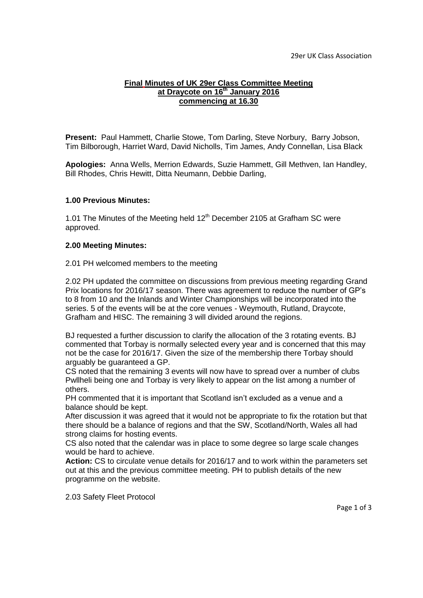## **Final Minutes of UK 29er Class Committee Meeting at Draycote on 16th January 2016 commencing at 16.30**

**Present:** Paul Hammett, Charlie Stowe, Tom Darling, Steve Norbury, Barry Jobson, Tim Bilborough, Harriet Ward, David Nicholls, Tim James, Andy Connellan, Lisa Black

**Apologies:** Anna Wells, Merrion Edwards, Suzie Hammett, Gill Methven, Ian Handley, Bill Rhodes, Chris Hewitt, Ditta Neumann, Debbie Darling,

## **1.00 Previous Minutes:**

1.01 The Minutes of the Meeting held  $12<sup>th</sup>$  December 2105 at Grafham SC were approved.

## **2.00 Meeting Minutes:**

2.01 PH welcomed members to the meeting

2.02 PH updated the committee on discussions from previous meeting regarding Grand Prix locations for 2016/17 season. There was agreement to reduce the number of GP's to 8 from 10 and the Inlands and Winter Championships will be incorporated into the series. 5 of the events will be at the core venues - Weymouth, Rutland, Draycote, Grafham and HISC. The remaining 3 will divided around the regions.

BJ requested a further discussion to clarify the allocation of the 3 rotating events. BJ commented that Torbay is normally selected every year and is concerned that this may not be the case for 2016/17. Given the size of the membership there Torbay should arguably be guaranteed a GP.

CS noted that the remaining 3 events will now have to spread over a number of clubs Pwllheli being one and Torbay is very likely to appear on the list among a number of others.

PH commented that it is important that Scotland isn't excluded as a venue and a balance should be kept.

After discussion it was agreed that it would not be appropriate to fix the rotation but that there should be a balance of regions and that the SW, Scotland/North, Wales all had strong claims for hosting events.

CS also noted that the calendar was in place to some degree so large scale changes would be hard to achieve.

**Action:** CS to circulate venue details for 2016/17 and to work within the parameters set out at this and the previous committee meeting. PH to publish details of the new programme on the website.

2.03 Safety Fleet Protocol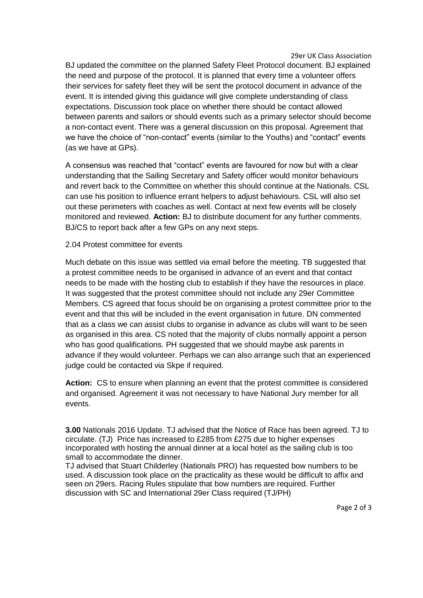29er UK Class Association

BJ updated the committee on the planned Safety Fleet Protocol document. BJ explained the need and purpose of the protocol. It is planned that every time a volunteer offers their services for safety fleet they will be sent the protocol document in advance of the event. It is intended giving this guidance will give complete understanding of class expectations. Discussion took place on whether there should be contact allowed between parents and sailors or should events such as a primary selector should become a non-contact event. There was a general discussion on this proposal. Agreement that we have the choice of "non-contact" events (similar to the Youths) and "contact" events (as we have at GPs).

A consensus was reached that "contact" events are favoured for now but with a clear understanding that the Sailing Secretary and Safety officer would monitor behaviours and revert back to the Committee on whether this should continue at the Nationals. CSL can use his position to influence errant helpers to adjust behaviours. CSL will also set out these perimeters with coaches as well. Contact at next few events will be closely monitored and reviewed. **Action:** BJ to distribute document for any further comments. BJ/CS to report back after a few GPs on any next steps.

## 2.04 Protest committee for events

Much debate on this issue was settled via email before the meeting. TB suggested that a protest committee needs to be organised in advance of an event and that contact needs to be made with the hosting club to establish if they have the resources in place. It was suggested that the protest committee should not include any 29er Committee Members. CS agreed that focus should be on organising a protest committee prior to the event and that this will be included in the event organisation in future. DN commented that as a class we can assist clubs to organise in advance as clubs will want to be seen as organised in this area. CS noted that the majority of clubs normally appoint a person who has good qualifications. PH suggested that we should maybe ask parents in advance if they would volunteer. Perhaps we can also arrange such that an experienced judge could be contacted via Skpe if required.

**Action:** CS to ensure when planning an event that the protest committee is considered and organised. Agreement it was not necessary to have National Jury member for all events.

**3.00** Nationals 2016 Update. TJ advised that the Notice of Race has been agreed. TJ to circulate. (TJ) Price has increased to £285 from £275 due to higher expenses incorporated with hosting the annual dinner at a local hotel as the sailing club is too small to accommodate the dinner.

TJ advised that Stuart Childerley (Nationals PRO) has requested bow numbers to be used. A discussion took place on the practicality as these would be difficult to affix and seen on 29ers. Racing Rules stipulate that bow numbers are required. Further discussion with SC and International 29er Class required (TJ/PH)

Page 2 of 3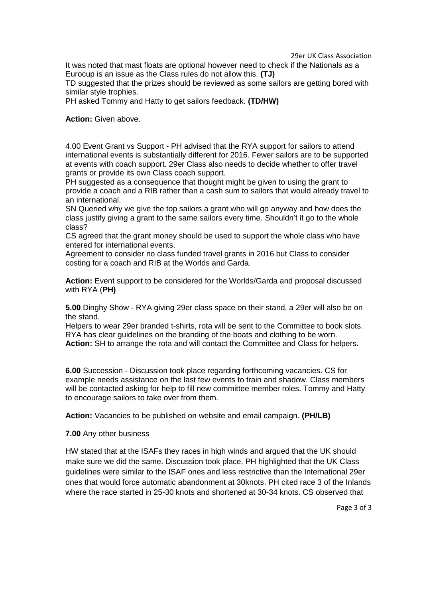29er UK Class Association

It was noted that mast floats are optional however need to check if the Nationals as a Eurocup is an issue as the Class rules do not allow this. **(TJ)**

TD suggested that the prizes should be reviewed as some sailors are getting bored with similar style trophies.

PH asked Tommy and Hatty to get sailors feedback. **(TD/HW)**

**Action:** Given above.

4.00 Event Grant vs Support - PH advised that the RYA support for sailors to attend international events is substantially different for 2016. Fewer sailors are to be supported at events with coach support. 29er Class also needs to decide whether to offer travel grants or provide its own Class coach support.

PH suggested as a consequence that thought might be given to using the grant to provide a coach and a RIB rather than a cash sum to sailors that would already travel to an international.

SN Queried why we give the top sailors a grant who will go anyway and how does the class justify giving a grant to the same sailors every time. Shouldn't it go to the whole class?

CS agreed that the grant money should be used to support the whole class who have entered for international events.

Agreement to consider no class funded travel grants in 2016 but Class to consider costing for a coach and RIB at the Worlds and Garda.

**Action:** Event support to be considered for the Worlds/Garda and proposal discussed with RYA (**PH)**

**5.00** Dinghy Show - RYA giving 29er class space on their stand, a 29er will also be on the stand.

Helpers to wear 29er branded t-shirts, rota will be sent to the Committee to book slots. RYA has clear guidelines on the branding of the boats and clothing to be worn. **Action:** SH to arrange the rota and will contact the Committee and Class for helpers.

**6.00** Succession - Discussion took place regarding forthcoming vacancies. CS for example needs assistance on the last few events to train and shadow. Class members will be contacted asking for help to fill new committee member roles. Tommy and Hatty to encourage sailors to take over from them.

**Action:** Vacancies to be published on website and email campaign. **(PH/LB)**

**7.00** Any other business

HW stated that at the ISAFs they races in high winds and argued that the UK should make sure we did the same. Discussion took place. PH highlighted that the UK Class guidelines were similar to the ISAF ones and less restrictive than the International 29er ones that would force automatic abandonment at 30knots. PH cited race 3 of the Inlands where the race started in 25-30 knots and shortened at 30-34 knots. CS observed that

Page 3 of 3